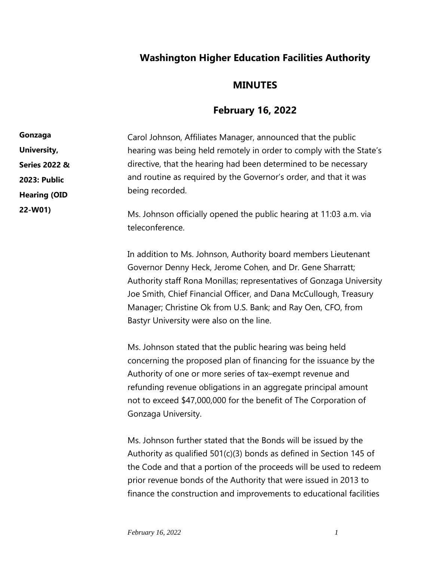## **Washington Higher Education Facilities Authority**

## **MINUTES**

## **February 16, 2022**

Carol Johnson, Affiliates Manager, announced that the public hearing was being held remotely in order to comply with the State's directive, that the hearing had been determined to be necessary and routine as required by the Governor's order, and that it was being recorded. Ms. Johnson officially opened the public hearing at 11:03 a.m. via teleconference. **Gonzaga University, Series 2022 & 2023: Public Hearing (OID 22-W01)**

> In addition to Ms. Johnson, Authority board members Lieutenant Governor Denny Heck, Jerome Cohen, and Dr. Gene Sharratt; Authority staff Rona Monillas; representatives of Gonzaga University Joe Smith, Chief Financial Officer, and Dana McCullough, Treasury Manager; Christine Ok from U.S. Bank; and Ray Oen, CFO, from Bastyr University were also on the line.

Ms. Johnson stated that the public hearing was being held concerning the proposed plan of financing for the issuance by the Authority of one or more series of tax–exempt revenue and refunding revenue obligations in an aggregate principal amount not to exceed \$47,000,000 for the benefit of The Corporation of Gonzaga University.

Ms. Johnson further stated that the Bonds will be issued by the Authority as qualified 501(c)(3) bonds as defined in Section 145 of the Code and that a portion of the proceeds will be used to redeem prior revenue bonds of the Authority that were issued in 2013 to finance the construction and improvements to educational facilities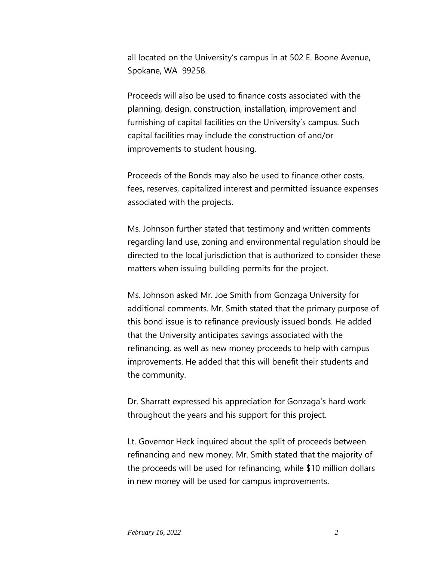all located on the University's campus in at 502 E. Boone Avenue, Spokane, WA 99258.

Proceeds will also be used to finance costs associated with the planning, design, construction, installation, improvement and furnishing of capital facilities on the University's campus. Such capital facilities may include the construction of and/or improvements to student housing.

Proceeds of the Bonds may also be used to finance other costs, fees, reserves, capitalized interest and permitted issuance expenses associated with the projects.

Ms. Johnson further stated that testimony and written comments regarding land use, zoning and environmental regulation should be directed to the local jurisdiction that is authorized to consider these matters when issuing building permits for the project.

Ms. Johnson asked Mr. Joe Smith from Gonzaga University for additional comments. Mr. Smith stated that the primary purpose of this bond issue is to refinance previously issued bonds. He added that the University anticipates savings associated with the refinancing, as well as new money proceeds to help with campus improvements. He added that this will benefit their students and the community.

Dr. Sharratt expressed his appreciation for Gonzaga's hard work throughout the years and his support for this project.

Lt. Governor Heck inquired about the split of proceeds between refinancing and new money. Mr. Smith stated that the majority of the proceeds will be used for refinancing, while \$10 million dollars in new money will be used for campus improvements.